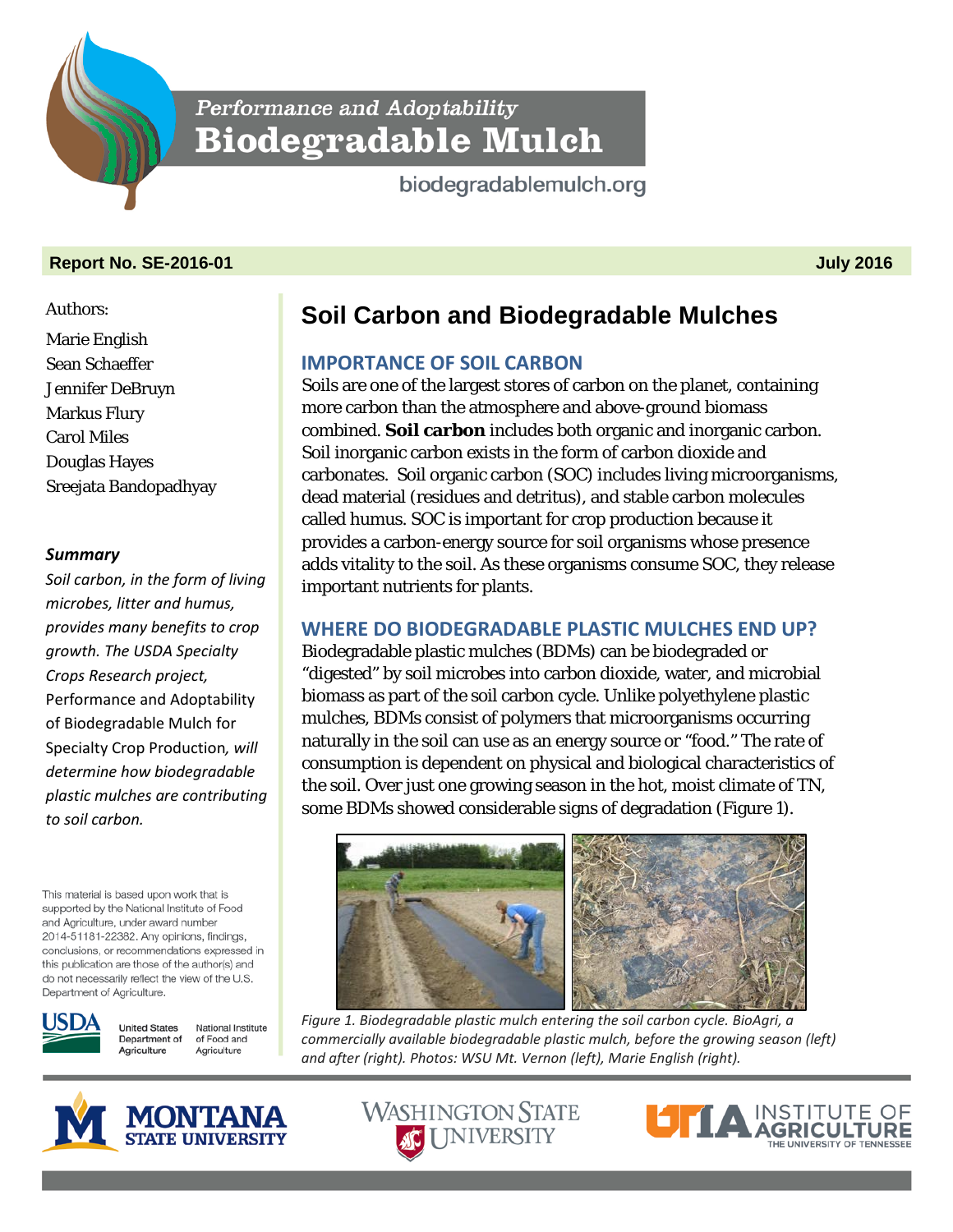Performance and Adoptability **Biodegradable Mulch** 

biodegradablemulch.org

## **Report No. SE-2016-01 July 2016**

#### Authors:

Marie English Sean Schaeffer Jennifer DeBruyn Markus Flury Carol Miles Douglas Hayes Sreejata Bandopadhyay

### *Summary*

*Soil carbon, in the form of living microbes, litter and humus, provides many benefits to crop growth. The USDA Specialty Crops Research project,*  Performance and Adoptability of Biodegradable Mulch for Specialty Crop Production*, will determine how biodegradable plastic mulches are contributing to soil carbon.*

This material is based upon work that is supported by the National Institute of Food and Agriculture, under award number 2014-51181-22382. Any opinions, findings, conclusions, or recommendations expressed in this publication are those of the author(s) and do not necessarily reflect the view of the U.S. Department of Agriculture.



**United States** National Institute Department of of Food and Agriculture Agriculture

# **Soil Carbon and Biodegradable Mulches**

# **IMPORTANCE OF SOIL CARBON**

Soils are one of the largest stores of carbon on the planet, containing more carbon than the atmosphere and above-ground biomass combined. **Soil carbon** includes both organic and inorganic carbon. Soil inorganic carbon exists in the form of carbon dioxide and carbonates. Soil organic carbon (SOC) includes living microorganisms, dead material (residues and detritus), and stable carbon molecules called humus. SOC is important for crop production because it provides a carbon-energy source for soil organisms whose presence adds vitality to the soil. As these organisms consume SOC, they release important nutrients for plants.

# **WHERE DO BIODEGRADABLE PLASTIC MULCHES END UP?**

Biodegradable plastic mulches (BDMs) can be biodegraded or "digested" by soil microbes into carbon dioxide, water, and microbial biomass as part of the soil carbon cycle. Unlike polyethylene plastic mulches, BDMs consist of polymers that microorganisms occurring naturally in the soil can use as an energy source or "food." The rate of consumption is dependent on physical and biological characteristics of the soil. Over just one growing season in the hot, moist climate of TN, some BDMs showed considerable signs of degradation (Figure 1).



*Figure 1. Biodegradable plastic mulch entering the soil carbon cycle. BioAgri, a commercially available biodegradable plastic mulch, before the growing season (left) and after (right). Photos: WSU Mt. Vernon (left), Marie English (right).*



**WASHINGTON STATE AC UNIVERSITY**